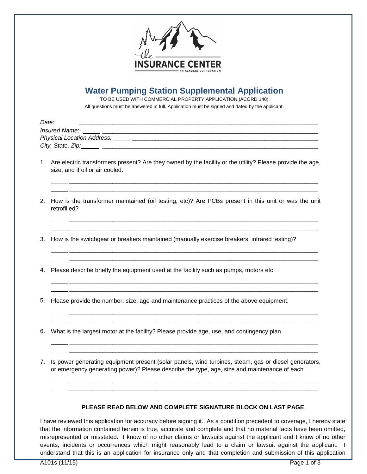

## **Water Pumping Station Supplemental Application**

TO BE USED WITH COMMERCIAL PROPERTY APPLICATION (ACORD 140)

All questions must be answered in full. Application must be signed and dated by the applicant.

|    | Date:                                                                                                                                                                                                |
|----|------------------------------------------------------------------------------------------------------------------------------------------------------------------------------------------------------|
|    |                                                                                                                                                                                                      |
|    |                                                                                                                                                                                                      |
|    |                                                                                                                                                                                                      |
|    | 1. Are electric transformers present? Are they owned by the facility or the utility? Please provide the age,<br>size, and if oil or air cooled.                                                      |
|    | 2. How is the transformer maintained (oil testing, etc)? Are PCBs present in this unit or was the unit<br>retrofilled?                                                                               |
| 3. | How is the switchgear or breakers maintained (manually exercise breakers, infrared testing)?                                                                                                         |
| 4. | Please describe briefly the equipment used at the facility such as pumps, motors etc.                                                                                                                |
| 5. | Please provide the number, size, age and maintenance practices of the above equipment.                                                                                                               |
| 6. | What is the largest motor at the facility? Please provide age, use, and contingency plan.                                                                                                            |
| 7. | Is power generating equipment present (solar panels, wind turbines, steam, gas or diesel generators,<br>or emergency generating power)? Please describe the type, age, size and maintenance of each. |
|    |                                                                                                                                                                                                      |

## **PLEASE READ BELOW AND COMPLETE SIGNATURE BLOCK ON LAST PAGE**

I have reviewed this application for accuracy before signing it. As a condition precedent to coverage, I hereby state that the information contained herein is true, accurate and complete and that no material facts have been omitted, misrepresented or misstated. I know of no other claims or lawsuits against the applicant and I know of no other events, incidents or occurrences which might reasonably lead to a claim or lawsuit against the applicant. I understand that this is an application for insurance only and that completion and submission of this application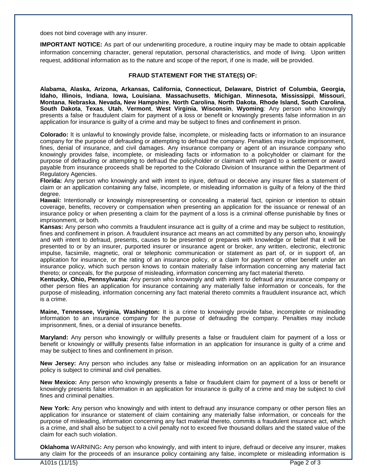does not bind coverage with any insurer.

**IMPORTANT NOTICE:** As part of our underwriting procedure, a routine inquiry may be made to obtain applicable information concerning character, general reputation, personal characteristics, and mode of living. Upon written request, additional information as to the nature and scope of the report, if one is made, will be provided.

## **FRAUD STATEMENT FOR THE STATE(S) OF:**

**Alabama, Alaska, Arizona, Arkansas, California, Connecticut, Delaware, District of Columbia, Georgia, Idaho, Illinois, Indiana**, **Iowa, Louisiana**, **Massachusetts**, **Michigan**, **Minnesota, Mississippi**, **Missouri**, **Montana**, **Nebraska**, **Nevada, New Hampshire**, **North Carolina**, **North Dakota**, **Rhode Island, South Carolina**, **South Dakota**, **Texas**, **Utah**, **Vermont**, **West Virginia**, **Wisconsin**, **Wyoming**: Any person who knowingly presents a false or fraudulent claim for payment of a loss or benefit or knowingly presents false information in an application for insurance is guilty of a crime and may be subject to fines and confinement in prison.

**Colorado:** It is unlawful to knowingly provide false, incomplete, or misleading facts or information to an insurance company for the purpose of defrauding or attempting to defraud the company. Penalties may include imprisonment, fines, denial of insurance, and civil damages. Any insurance company or agent of an insurance company who knowingly provides false, incomplete, or misleading facts or information to a policyholder or claimant for the purpose of defrauding or attempting to defraud the policyholder or claimant with regard to a settlement or award payable from insurance proceeds shall be reported to the Colorado Division of Insurance within the Department of Regulatory Agencies.

**Florida:** Any person who knowingly and with intent to injure, defraud or deceive any insurer files a statement of claim or an application containing any false, incomplete, or misleading information is guilty of a felony of the third degree.

**Hawaii:** Intentionally or knowingly misrepresenting or concealing a material fact, opinion or intention to obtain coverage, benefits, recovery or compensation when presenting an application for the issuance or renewal of an insurance policy or when presenting a claim for the payment of a loss is a criminal offense punishable by fines or imprisonment, or both.

**Kansas:** Any person who commits a fraudulent insurance act is guilty of a crime and may be subject to restitution, fines and confinement in prison. A fraudulent insurance act means an act committed by any person who, knowingly and with intent to defraud, presents, causes to be presented or prepares with knowledge or belief that it will be presented to or by an insurer, purported insurer or insurance agent or broker, any written, electronic, electronic impulse, facsimile, magnetic, oral or telephonic communication or statement as part of, or in support of, an application for insurance, or the rating of an insurance policy, or a claim for payment or other benefit under an insurance policy, which such person knows to contain materially false information concerning any material fact thereto; or conceals, for the purpose of misleading, information concerning any fact material thereto.

**Kentucky, Ohio, Pennsylvania:** Any person who knowingly and with intent to defraud any insurance company or other person files an application for insurance containing any materially false information or conceals, for the purpose of misleading, information concerning any fact material thereto commits a fraudulent insurance act, which is a crime.

**Maine, Tennessee, Virginia, Washington:** It is a crime to knowingly provide false, incomplete or misleading information to an insurance company for the purpose of defrauding the company. Penalties may include imprisonment, fines, or a denial of insurance benefits.

**Maryland:** Any person who knowingly or willfully presents a false or fraudulent claim for payment of a loss or benefit or knowingly or willfully presents false information in an application for insurance is guilty of a crime and may be subject to fines and confinement in prison.

**New Jersey:** Any person who includes any false or misleading information on an application for an insurance policy is subject to criminal and civil penalties.

**New Mexico:** Any person who knowingly presents a false or fraudulent claim for payment of a loss or benefit or knowingly presents false information in an application for insurance is guilty of a crime and may be subject to civil fines and criminal penalties.

**New York:** Any person who knowingly and with intent to defraud any insurance company or other person files an application for insurance or statement of claim containing any materially false information, or conceals for the purpose of misleading, information concerning any fact material thereto, commits a fraudulent insurance act, which is a crime, and shall also be subject to a civil penalty not to exceed five thousand dollars and the stated value of the claim for each such violation.

**Oklahoma** WARNING**:** Any person who knowingly, and with intent to injure, defraud or deceive any insurer, makes any claim for the proceeds of an insurance policy containing any false, incomplete or misleading information is